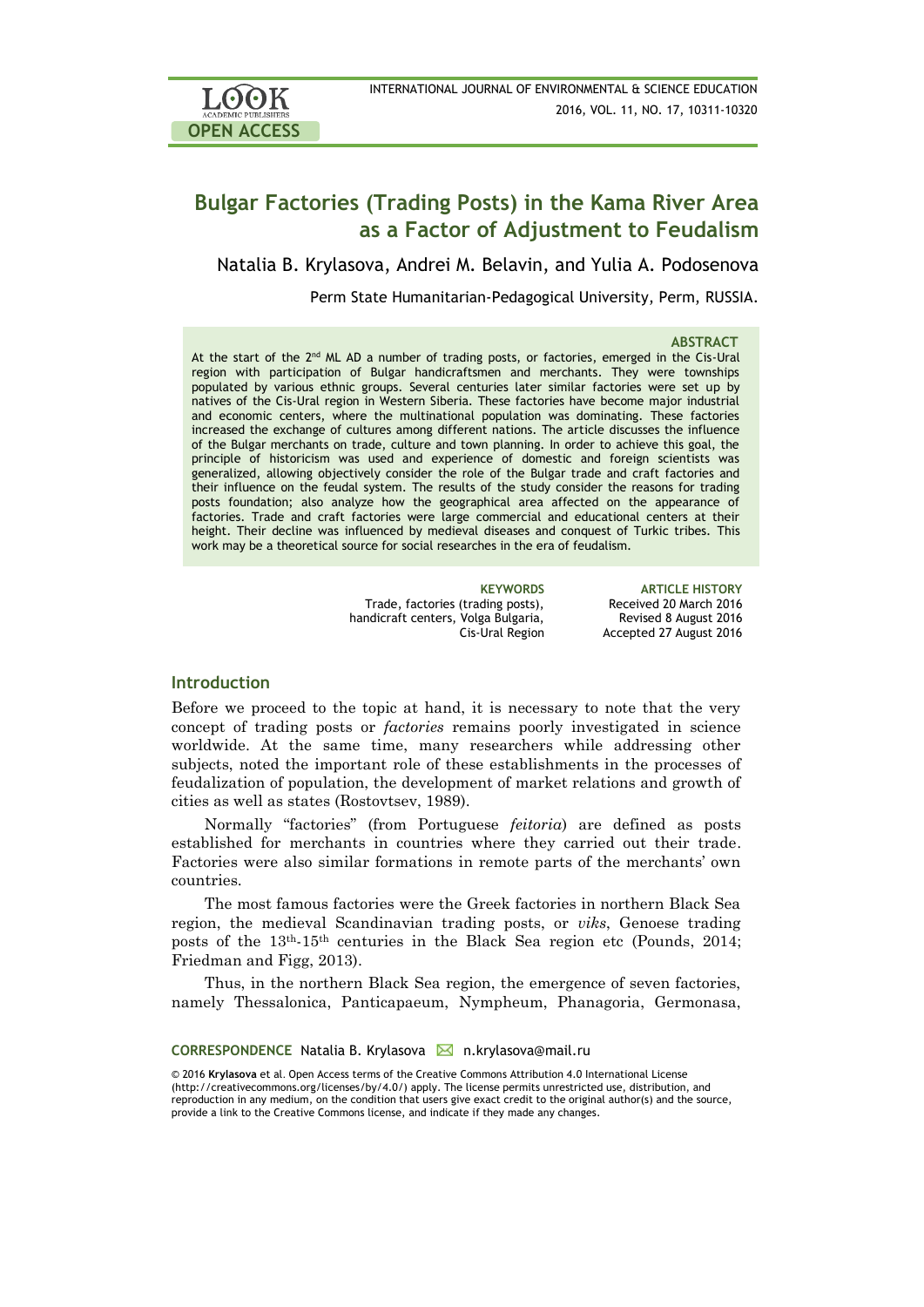

# **Bulgar Factories (Trading Posts) in the Kama River Area as a Factor of Adjustment to Feudalism**

Natalia B. Krylasova, Andrei M. Belavin, and Yulia A. Podosenova

Perm State Humanitarian-Pedagogical University, Perm, [RUSSIA.](https://en.wikipedia.org/wiki/Russia)

### **ABSTRACT**

At the start of the  $2<sup>nd</sup>$  ML AD a number of trading posts, or factories, emerged in the Cis-Ural region with participation of Bulgar handicraftsmen and merchants. They were townships populated by various ethnic groups. Several centuries later similar factories were set up by natives of the Cis-Ural region in Western Siberia. These factories have become major industrial and economic centers, where the multinational population was dominating. These factories increased the exchange of cultures among different nations. The article discusses the influence of the Bulgar merchants on trade, culture and town planning. In order to achieve this goal, the principle of historicism was used and experience of domestic and foreign scientists was generalized, allowing objectively consider the role of the Bulgar trade and craft factories and their influence on the feudal system. The results of the study consider the reasons for trading posts foundation; also analyze how the geographical area affected on the appearance of factories. Trade and craft factories were large commercial and educational centers at their height. Their decline was influenced by medieval diseases and conquest of Turkic tribes. This work may be a theoretical source for social researches in the era of feudalism.

> Trade, factories (trading posts), handicraft centers, Volga Bulgaria, Cis-Ural Region

**KEYWORDS ARTICLE HISTORY** Received 20 March 2016 Revised 8 August 2016 Accepted 27 August 2016

### **Introduction**

Before we proceed to the topic at hand, it is necessary to note that the very concept of trading posts or *factories* remains poorly investigated in science worldwide. At the same time, many researchers while addressing other subjects, noted the important role of these establishments in the processes of feudalization of population, the development of market relations and growth of cities as well as states (Rostovtsev, 1989).

Normally "factories" (from Portuguese *feitoria*) are defined as posts established for merchants in countries where they carried out their trade. Factories were also similar formations in remote parts of the merchants' own countries.

The most famous factories were the Greek factories in northern Black Sea region, the medieval Scandinavian trading posts, or *viks*, Genoese trading posts of the 13th-15th centuries in the Black Sea region etc (Pounds, 2014; Friedman and Figg, 2013).

Thus, in the northern Black Sea region, the emergence of seven factories, namely Thessalonica, Panticapaeum, Nympheum, Phanagoria, Germonasa,

### CORRESPONDENCE Natalia B. Krylasova **M** n.krylasova@mail.ru

© 2016 **Krylasova** et al. Open Access terms of the Creative Commons Attribution 4.0 International License (http://creativecommons.org/licenses/by/4.0/) apply. The license permits unrestricted use, distribution, and reproduction in any medium, on the condition that users give exact credit to the original author(s) and the source, provide a link to the Creative Commons license, and indicate if they made any changes.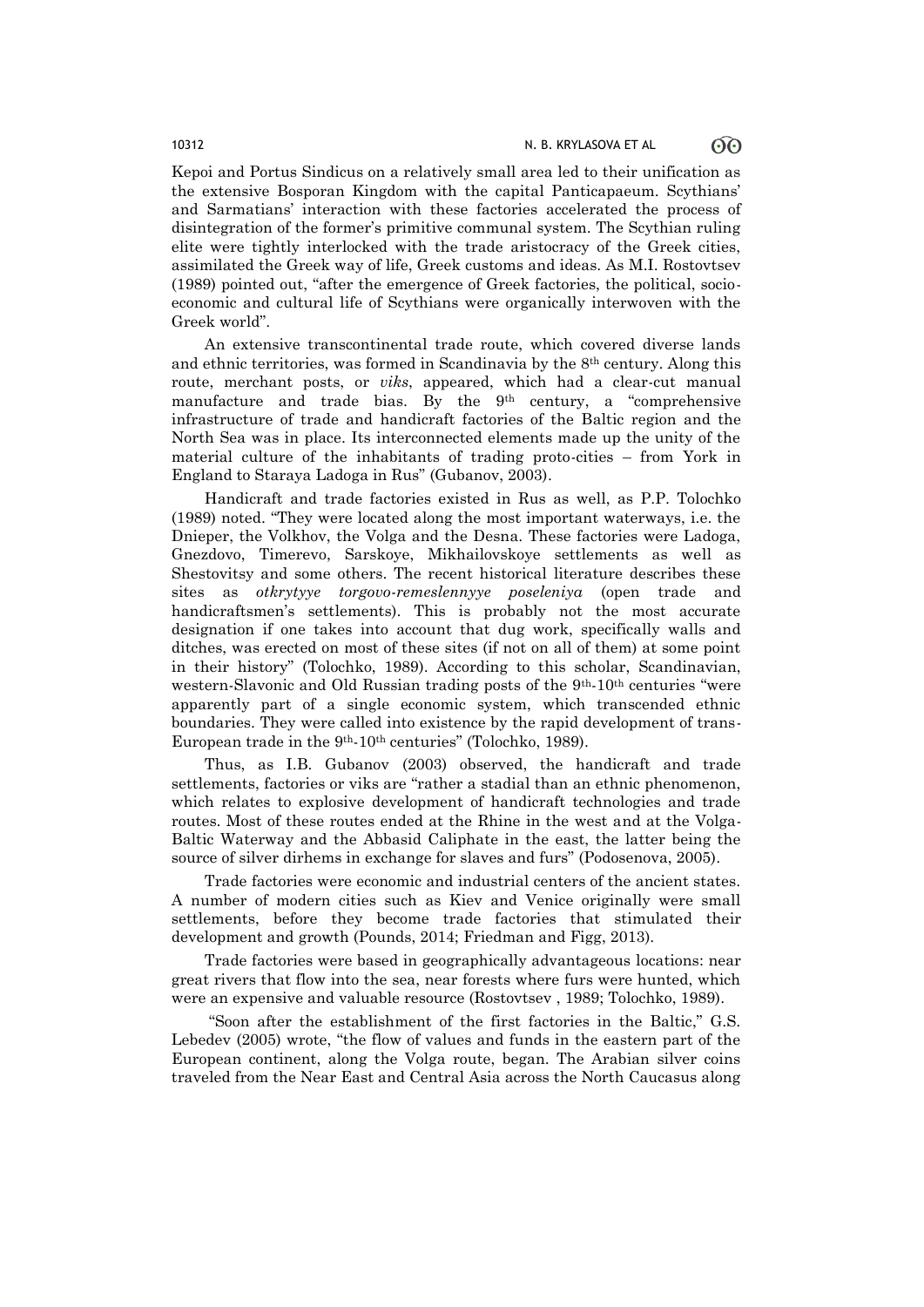Kepoi and Portus Sindicus on a relatively small area led to their unification as the extensive Bosporan Kingdom with the capital Panticapaeum. Scythians' and Sarmatians' interaction with these factories accelerated the process of disintegration of the former's primitive communal system. The Scythian ruling elite were tightly interlocked with the trade aristocracy of the Greek cities, assimilated the Greek way of life, Greek customs and ideas. As M.I. Rostovtsev (1989) pointed out, "after the emergence of Greek factories, the political, socioeconomic and cultural life of Scythians were organically interwoven with the Greek world".

An extensive transcontinental trade route, which covered diverse lands and ethnic territories, was formed in Scandinavia by the 8th century. Along this route, merchant posts, or *viks*, appeared, which had a clear-cut manual manufacture and trade bias. By the  $9<sup>th</sup>$  century, a "comprehensive infrastructure of trade and handicraft factories of the Baltic region and the North Sea was in place. Its interconnected elements made up the unity of the material culture of the inhabitants of trading proto-cities – from York in England to Staraya Ladoga in Rus" (Gubanov, 2003).

Handicraft and trade factories existed in Rus as well, as P.P. Tolochko (1989) noted. "They were located along the most important waterways, i.e. the Dnieper, the Volkhov, the Volga and the Desna. These factories were Ladoga, Gnezdovo, Timerevo, Sarskoye, Mikhailovskoye settlements as well as Shestovitsy and some others. The recent historical literature describes these sites as *otkrytyye torgovo-remeslennyye poseleniya* (open trade and handicraftsmen's settlements). This is probably not the most accurate designation if one takes into account that dug work, specifically walls and ditches, was erected on most of these sites (if not on all of them) at some point in their history" (Tolochko, 1989). According to this scholar, Scandinavian, western-Slavonic and Old Russian trading posts of the 9<sup>th</sup>-10<sup>th</sup> centuries "were apparently part of a single economic system, which transcended ethnic boundaries. They were called into existence by the rapid development of trans-European trade in the 9th-10th centuries" (Tolochko, 1989).

Thus, as I.B. Gubanov (2003) observed, the handicraft and trade settlements, factories or viks are "rather a stadial than an ethnic phenomenon, which relates to explosive development of handicraft technologies and trade routes. Most of these routes ended at the Rhine in the west and at the Volga-Baltic Waterway and the Abbasid Caliphate in the east, the latter being the source of silver dirhems in exchange for slaves and furs" (Podosenova, 2005).

Trade factories were economic and industrial centers of the ancient states. A number of modern cities such as Kiev and Venice originally were small settlements, before they become trade factories that stimulated their development and growth (Pounds, 2014; Friedman and Figg, 2013).

Trade factories were based in geographically advantageous locations: near great rivers that flow into the sea, near forests where furs were hunted, which were an expensive and valuable resource (Rostovtsev , 1989; Tolochko, 1989).

"Soon after the establishment of the first factories in the Baltic," G.S. Lebedev (2005) wrote, "the flow of values and funds in the eastern part of the European continent, along the Volga route, began. The Arabian silver coins traveled from the Near East and Central Asia across the North Caucasus along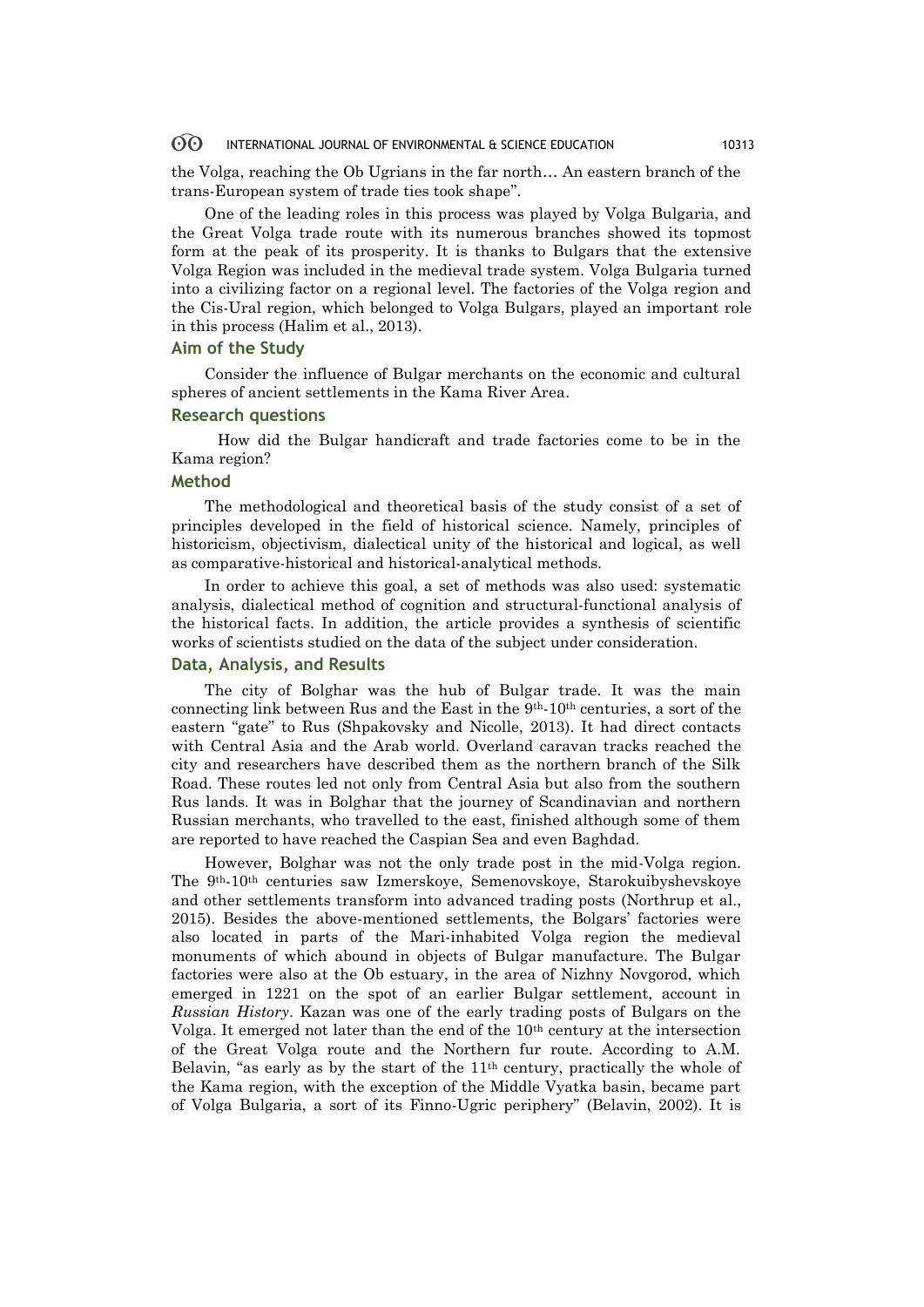#### 60 INTERNATIONAL JOURNAL OF ENVIRONMENTAL & SCIENCE EDUCATION 10313

the Volga, reaching the Ob Ugrians in the far north… An eastern branch of the trans-European system of trade ties took shape".

One of the leading roles in this process was played by Volga Bulgaria, and the Great Volga trade route with its numerous branches showed its topmost form at the peak of its prosperity. It is thanks to Bulgars that the extensive Volga Region was included in the medieval trade system. Volga Bulgaria turned into a civilizing factor on a regional level. The factories of the Volga region and the Cis-Ural region, which belonged to Volga Bulgars, played an important role in this process (Halim et al., 2013).

### **Aim of the Study**

Consider the influence of Bulgar merchants on the economic and cultural spheres of ancient settlements in the Kama River Area.

### **Research questions**

 How did the Bulgar handicraft and trade factories come to be in the Kama region?

## **Method**

The methodological and theoretical basis of the study consist of a set of principles developed in the field of historical science. Namely, principles of historicism, objectivism, dialectical unity of the historical and logical, as well as comparative-historical and historical-analytical methods.

In order to achieve this goal, a set of methods was also used: systematic analysis, dialectical method of cognition and structural-functional analysis of the historical facts. In addition, the article provides a synthesis of scientific works of scientists studied on the data of the subject under consideration.

### **Data, Analysis, and Results**

The city of Bolghar was the hub of Bulgar trade. It was the main connecting link between Rus and the East in the  $9<sup>th</sup>$ -10<sup>th</sup> centuries, a sort of the eastern "gate" to Rus (Shpakovsky and Nicolle, 2013). It had direct contacts with Central Asia and the Arab world. Overland caravan tracks reached the city and researchers have described them as the northern branch of the Silk Road. These routes led not only from Central Asia but also from the southern Rus lands. It was in Bolghar that the journey of Scandinavian and northern Russian merchants, who travelled to the east, finished although some of them are reported to have reached the Caspian Sea and even Baghdad.

However, Bolghar was not the only trade post in the mid-Volga region. The 9th-10th centuries saw Izmerskoye, Semenovskoye, Starokuibyshevskoye and other settlements transform into advanced trading posts (Northrup et al., 2015). Besides the above-mentioned settlements, the Bolgars' factories were also located in parts of the Mari-inhabited Volga region the medieval monuments of which abound in objects of Bulgar manufacture. The Bulgar factories were also at the Ob estuary, in the area of Nizhny Novgorod, which emerged in 1221 on the spot of an earlier Bulgar settlement, account in *Russian History*. Kazan was one of the early trading posts of Bulgars on the Volga. It emerged not later than the end of the 10th century at the intersection of the Great Volga route and the Northern fur route. According to A.M. Belavin, "as early as by the start of the  $11<sup>th</sup>$  century, practically the whole of the Kama region, with the exception of the Middle Vyatka basin, became part of Volga Bulgaria, a sort of its Finno-Ugric periphery" (Belavin, 2002). It is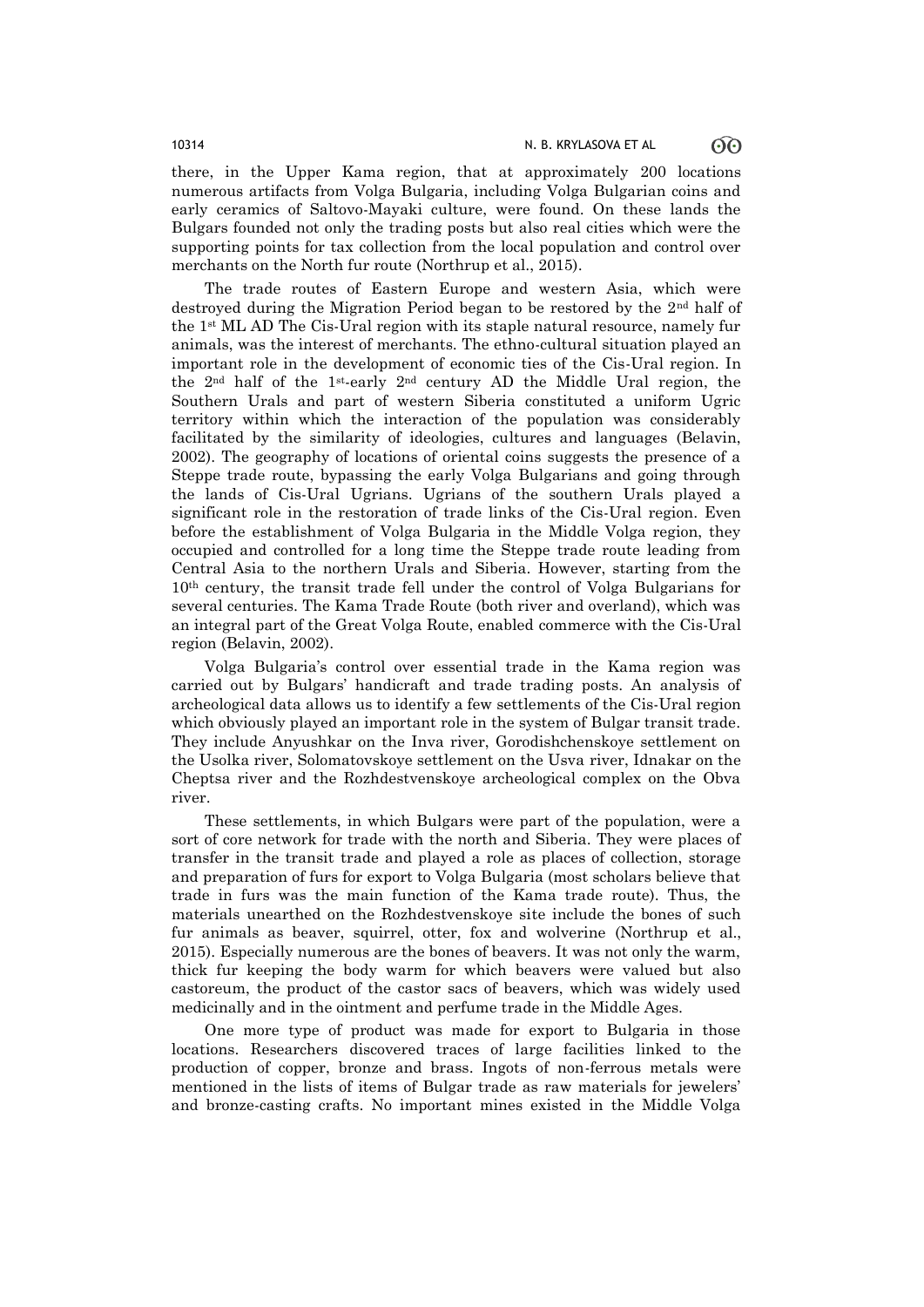there, in the Upper Kama region, that at approximately 200 locations numerous artifacts from Volga Bulgaria, including Volga Bulgarian coins and early ceramics of Saltovo-Mayaki culture, were found. On these lands the Bulgars founded not only the trading posts but also real cities which were the supporting points for tax collection from the local population and control over merchants on the North fur route (Northrup et al., 2015).

The trade routes of Eastern Europe and western Asia, which were destroyed during the Migration Period began to be restored by the 2nd half of the 1st ML AD The Cis-Ural region with its staple natural resource, namely fur animals, was the interest of merchants. The ethno-cultural situation played an important role in the development of economic ties of the Cis-Ural region. In the 2nd half of the 1st-early 2nd century AD the Middle Ural region, the Southern Urals and part of western Siberia constituted a uniform Ugric territory within which the interaction of the population was considerably facilitated by the similarity of ideologies, cultures and languages (Belavin, 2002). The geography of locations of oriental coins suggests the presence of a Steppe trade route, bypassing the early Volga Bulgarians and going through the lands of Cis-Ural Ugrians. Ugrians of the southern Urals played a significant role in the restoration of trade links of the Cis-Ural region. Even before the establishment of Volga Bulgaria in the Middle Volga region, they occupied and controlled for a long time the Steppe trade route leading from Central Asia to the northern Urals and Siberia. However, starting from the 10th century, the transit trade fell under the control of Volga Bulgarians for several centuries. The Kama Trade Route (both river and overland), which was an integral part of the Great Volga Route, enabled commerce with the Cis-Ural region (Belavin, 2002).

Volga Bulgaria's control over essential trade in the Kama region was carried out by Bulgars' handicraft and trade trading posts. An analysis of archeological data allows us to identify a few settlements of the Cis-Ural region which obviously played an important role in the system of Bulgar transit trade. They include Anyushkar on the Inva river, Gorodishchenskoye settlement on the Usolka river, Solomatovskoye settlement on the Usva river, Idnakar on the Cheptsa river and the Rozhdestvenskoye archeological complex on the Obva river.

These settlements, in which Bulgars were part of the population, were a sort of core network for trade with the north and Siberia. They were places of transfer in the transit trade and played a role as places of collection, storage and preparation of furs for export to Volga Bulgaria (most scholars believe that trade in furs was the main function of the Kama trade route). Thus, the materials unearthed on the Rozhdestvenskoye site include the bones of such fur animals as beaver, squirrel, otter, fox and wolverine (Northrup et al., 2015). Especially numerous are the bones of beavers. It was not only the warm, thick fur keeping the body warm for which beavers were valued but also castoreum, the product of the castor sacs of beavers, which was widely used medicinally and in the ointment and perfume trade in the Middle Ages.

One more type of product was made for export to Bulgaria in those locations. Researchers discovered traces of large facilities linked to the production of copper, bronze and brass. Ingots of non-ferrous metals were mentioned in the lists of items of Bulgar trade as raw materials for jewelers' and bronze-casting crafts. No important mines existed in the Middle Volga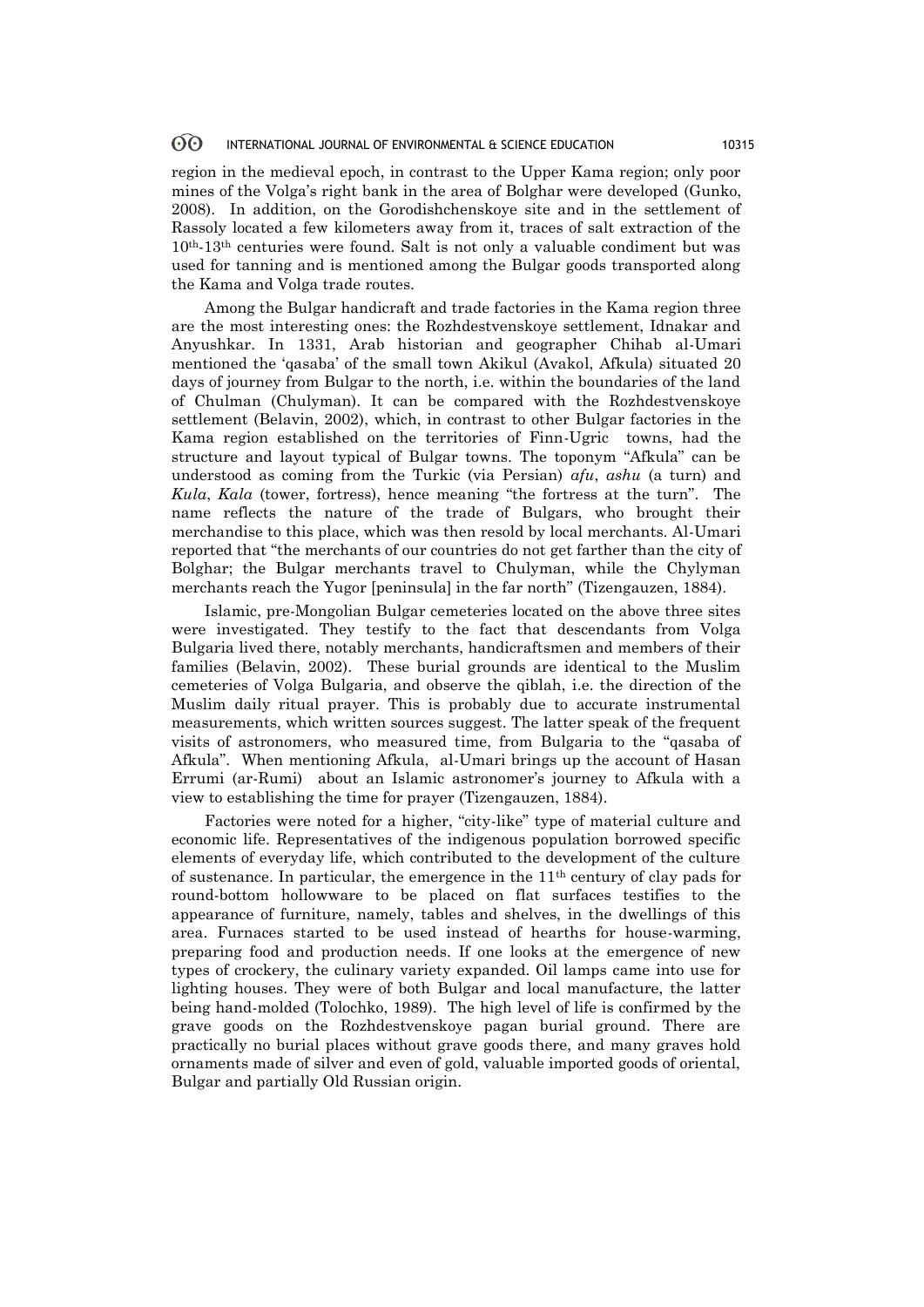### 60 INTERNATIONAL JOURNAL OF ENVIRONMENTAL & SCIENCE EDUCATION 10315

region in the medieval epoch, in contrast to the Upper Kama region; only poor mines of the Volga's right bank in the area of Bolghar were developed (Gunko, 2008). In addition, on the Gorodishchenskoye site and in the settlement of Rassoly located a few kilometers away from it, traces of salt extraction of the 10th-13th centuries were found. Salt is not only a valuable condiment but was used for tanning and is mentioned among the Bulgar goods transported along the Kama and Volga trade routes.

Among the Bulgar handicraft and trade factories in the Kama region three are the most interesting ones: the Rozhdestvenskoye settlement, Idnakar and Anyushkar. In 1331, Arab historian and geographer Chihab al-Umari mentioned the 'qasaba' of the small town Akikul (Avakol, Afkula) situated 20 days of journey from Bulgar to the north, i.e. within the boundaries of the land of Chulman (Chulyman). It can be compared with the Rozhdestvenskoye settlement (Belavin, 2002), which, in contrast to other Bulgar factories in the Kama region established on the territories of Finn-Ugric towns, had the structure and layout typical of Bulgar towns. The toponym "Afkula" can be understood as coming from the Turkic (via Persian) *afu*, *ashu* (a turn) and *Kula*, *Kala* (tower, fortress), hence meaning "the fortress at the turn". The name reflects the nature of the trade of Bulgars, who brought their merchandise to this place, which was then resold by local merchants. Al-Umari reported that "the merchants of our countries do not get farther than the city of Bolghar; the Bulgar merchants travel to Chulyman, while the Chylyman merchants reach the Yugor [peninsula] in the far north" (Tizengauzen, 1884).

Islamic, pre-Mongolian Bulgar cemeteries located on the above three sites were investigated. They testify to the fact that descendants from Volga Bulgaria lived there, notably merchants, handicraftsmen and members of their families (Belavin, 2002). These burial grounds are identical to the Muslim cemeteries of Volga Bulgaria, and observe the qiblah, i.e. the direction of the Muslim daily ritual prayer. This is probably due to accurate instrumental measurements, which written sources suggest. The latter speak of the frequent visits of astronomers, who measured time, from Bulgaria to the "qasaba of Afkula". When mentioning Afkula, al-Umari brings up the account of Hasan Errumi (ar-Rumi) about an Islamic astronomer's journey to Afkula with a view to establishing the time for prayer (Tizengauzen, 1884).

Factories were noted for a higher, "city-like" type of material culture and economic life. Representatives of the indigenous population borrowed specific elements of everyday life, which contributed to the development of the culture of sustenance. In particular, the emergence in the 11th century of clay pads for round-bottom hollowware to be placed on flat surfaces testifies to the appearance of furniture, namely, tables and shelves, in the dwellings of this area. Furnaces started to be used instead of hearths for house-warming, preparing food and production needs. If one looks at the emergence of new types of crockery, the culinary variety expanded. Oil lamps came into use for lighting houses. They were of both Bulgar and local manufacture, the latter being hand-molded (Tolochko, 1989). The high level of life is confirmed by the grave goods on the Rozhdestvenskoye pagan burial ground. There are practically no burial places without grave goods there, and many graves hold ornaments made of silver and even of gold, valuable imported goods of oriental, Bulgar and partially Old Russian origin.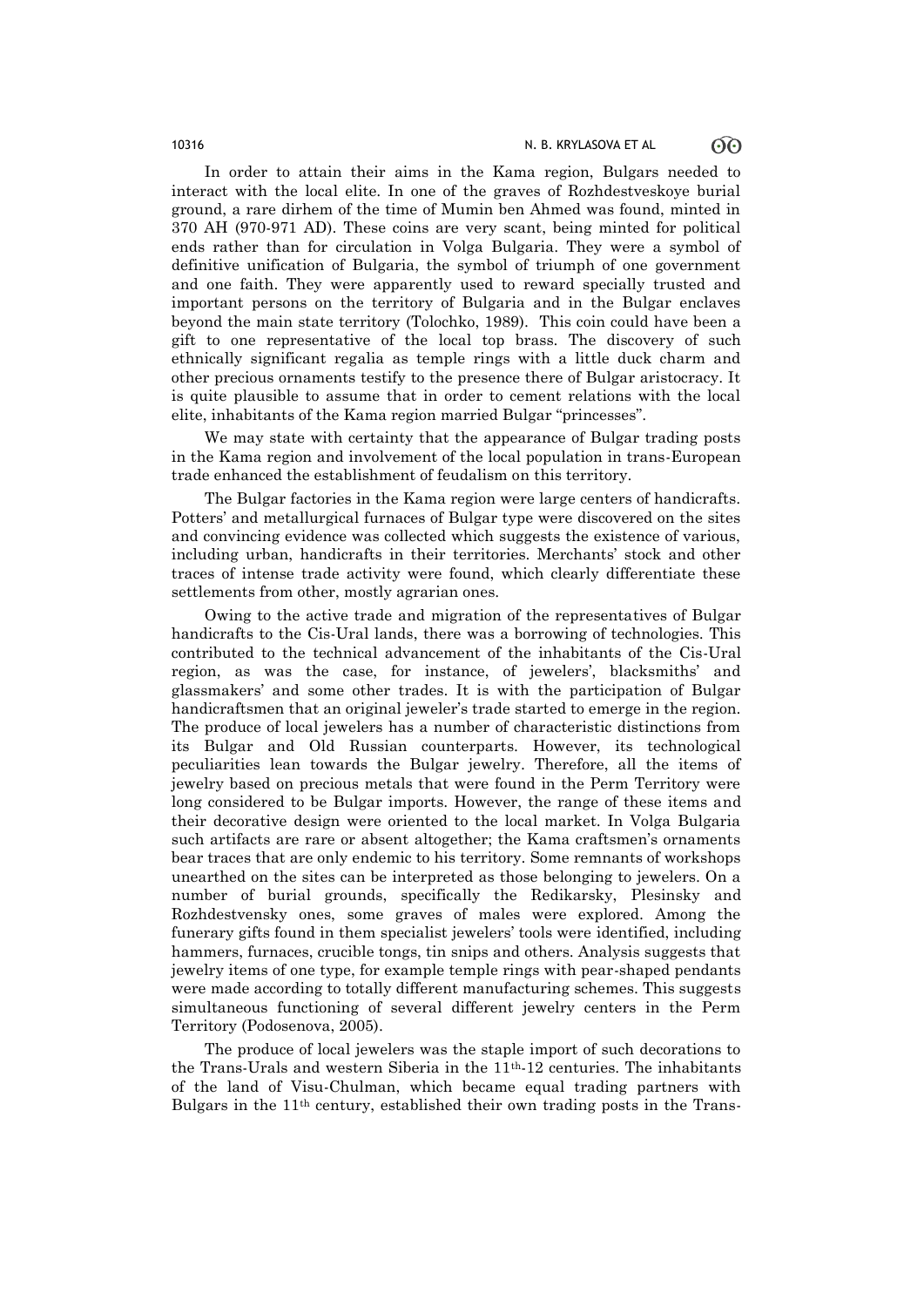In order to attain their aims in the Kama region, Bulgars needed to interact with the local elite. In one of the graves of Rozhdestveskoye burial ground, a rare dirhem of the time of Mumin ben Ahmed was found, minted in 370 AH (970-971 AD). These coins are very scant, being minted for political ends rather than for circulation in Volga Bulgaria. They were a symbol of definitive unification of Bulgaria, the symbol of triumph of one government and one faith. They were apparently used to reward specially trusted and important persons on the territory of Bulgaria and in the Bulgar enclaves beyond the main state territory (Tolochko, 1989). This coin could have been a gift to one representative of the local top brass. The discovery of such ethnically significant regalia as temple rings with a little duck charm and other precious ornaments testify to the presence there of Bulgar aristocracy. It is quite plausible to assume that in order to cement relations with the local elite, inhabitants of the Kama region married Bulgar "princesses".

We may state with certainty that the appearance of Bulgar trading posts in the Kama region and involvement of the local population in trans-European trade enhanced the establishment of feudalism on this territory.

The Bulgar factories in the Kama region were large centers of handicrafts. Potters' and metallurgical furnaces of Bulgar type were discovered on the sites and convincing evidence was collected which suggests the existence of various, including urban, handicrafts in their territories. Merchants' stock and other traces of intense trade activity were found, which clearly differentiate these settlements from other, mostly agrarian ones.

Owing to the active trade and migration of the representatives of Bulgar handicrafts to the Cis-Ural lands, there was a borrowing of technologies. This contributed to the technical advancement of the inhabitants of the Cis-Ural region, as was the case, for instance, of jewelers', blacksmiths' and glassmakers' and some other trades. It is with the participation of Bulgar handicraftsmen that an original jeweler's trade started to emerge in the region. The produce of local jewelers has a number of characteristic distinctions from its Bulgar and Old Russian counterparts. However, its technological peculiarities lean towards the Bulgar jewelry. Therefore, all the items of jewelry based on precious metals that were found in the Perm Territory were long considered to be Bulgar imports. However, the range of these items and their decorative design were oriented to the local market. In Volga Bulgaria such artifacts are rare or absent altogether; the Kama craftsmen's ornaments bear traces that are only endemic to his territory. Some remnants of workshops unearthed on the sites can be interpreted as those belonging to jewelers. On a number of burial grounds, specifically the Redikarsky, Plesinsky and Rozhdestvensky ones, some graves of males were explored. Among the funerary gifts found in them specialist jewelers' tools were identified, including hammers, furnaces, crucible tongs, tin snips and others. Analysis suggests that jewelry items of one type, for example temple rings with pear-shaped pendants were made according to totally different manufacturing schemes. This suggests simultaneous functioning of several different jewelry centers in the Perm Territory (Podosenova, 2005).

The produce of local jewelers was the staple import of such decorations to the Trans-Urals and western Siberia in the  $11<sup>th</sup>$ -12 centuries. The inhabitants of the land of Visu-Chulman, which became equal trading partners with Bulgars in the 11th century, established their own trading posts in the Trans-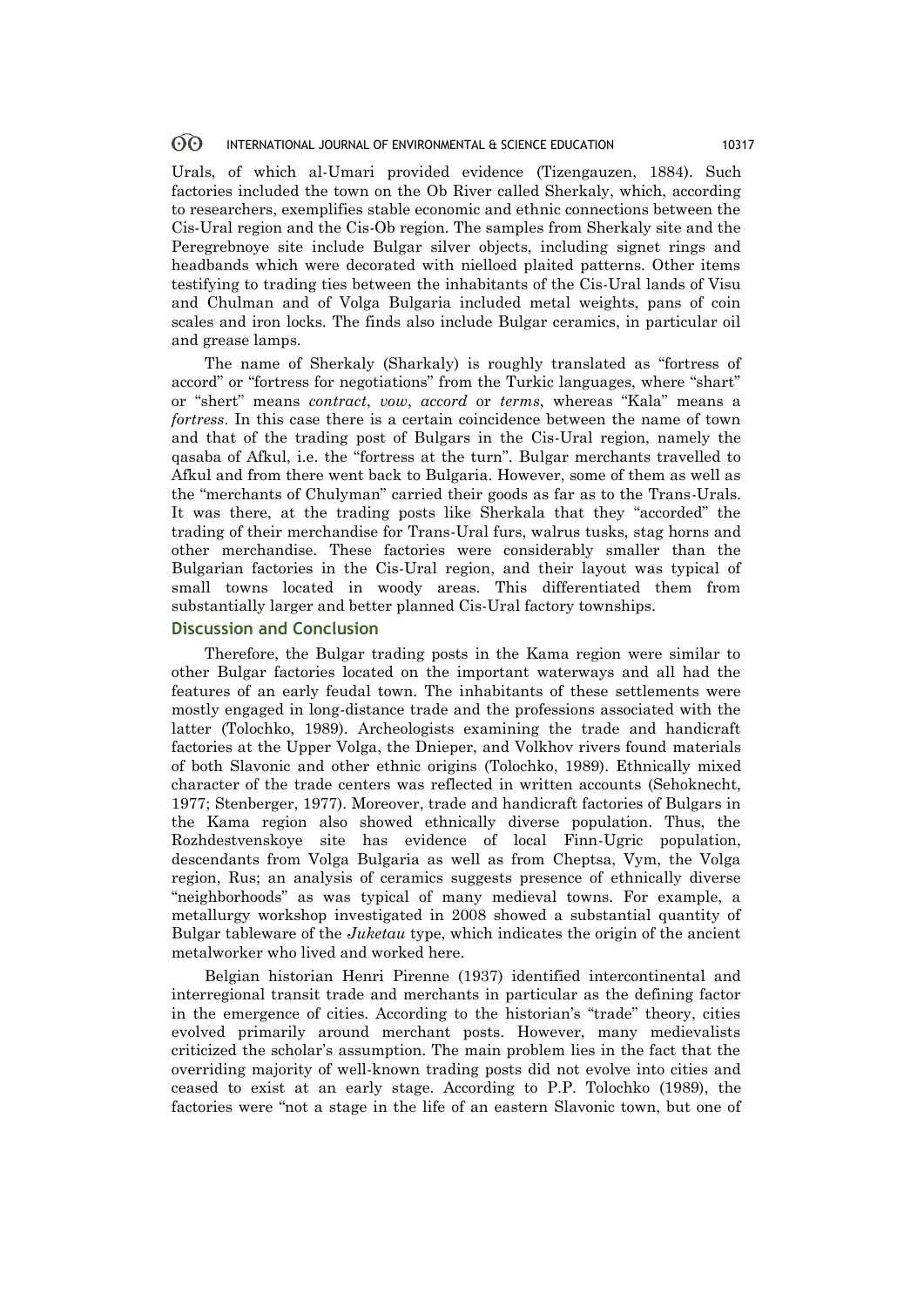### **ගි** INTERNATIONAL JOURNAL OF ENVIRONMENTAL & SCIENCE EDUCATION 10317

Urals, of which al-Umari provided evidence (Tizengauzen, 1884). Such factories included the town on the Ob River called Sherkaly, which, according to researchers, exemplifies stable economic and ethnic connections between the Cis-Ural region and the Cis-Ob region. The samples from Sherkaly site and the Peregrebnoye site include Bulgar silver objects, including signet rings and headbands which were decorated with nielloed plaited patterns. Other items testifying to trading ties between the inhabitants of the Cis-Ural lands of Visu and Chulman and of Volga Bulgaria included metal weights, pans of coin scales and iron locks. The finds also include Bulgar ceramics, in particular oil and grease lamps.

The name of Sherkaly (Sharkaly) is roughly translated as "fortress of accord" or "fortress for negotiations" from the Turkic languages, where "shart" or "shert" means *contract*, *vow*, *accord* or *terms*, whereas "Kala" means a *fortress*. In this case there is a certain coincidence between the name of town and that of the trading post of Bulgars in the Cis-Ural region, namely the qasaba of Afkul, i.e. the "fortress at the turn". Bulgar merchants travelled to Afkul and from there went back to Bulgaria. However, some of them as well as the "merchants of Chulyman" carried their goods as far as to the Trans-Urals. It was there, at the trading posts like Sherkala that they "accorded" the trading of their merchandise for Trans-Ural furs, walrus tusks, stag horns and other merchandise. These factories were considerably smaller than the Bulgarian factories in the Cis-Ural region, and their layout was typical of small towns located in woody areas. This differentiated them from substantially larger and better planned Cis-Ural factory townships.

### **Discussion and Conclusion**

Therefore, the Bulgar trading posts in the Kama region were similar to other Bulgar factories located on the important waterways and all had the features of an early feudal town. The inhabitants of these settlements were mostly engaged in long-distance trade and the professions associated with the latter (Tolochko, 1989). Archeologists examining the trade and handicraft factories at the Upper Volga, the Dnieper, and Volkhov rivers found materials of both Slavonic and other ethnic origins (Tolochko, 1989). Ethnically mixed character of the trade centers was reflected in written accounts (Sehoknecht, 1977; Stenberger, 1977). Moreover, trade and handicraft factories of Bulgars in the Kama region also showed ethnically diverse population. Thus, the Rozhdestvenskoye site has evidence of local Finn-Ugric population, descendants from Volga Bulgaria as well as from Cheptsa, Vym, the Volga region, Rus; an analysis of ceramics suggests presence of ethnically diverse "neighborhoods" as was typical of many medieval towns. For example, a metallurgy workshop investigated in 2008 showed a substantial quantity of Bulgar tableware of the *Juketau* type, which indicates the origin of the ancient metalworker who lived and worked here.

Belgian historian Henri Pirenne (1937) identified intercontinental and interregional transit trade and merchants in particular as the defining factor in the emergence of cities. According to the historian's "trade" theory, cities evolved primarily around merchant posts. However, many medievalists criticized the scholar's assumption. The main problem lies in the fact that the overriding majority of well-known trading posts did not evolve into cities and ceased to exist at an early stage. According to P.P. Tolochko (1989), the factories were "not a stage in the life of an eastern Slavonic town, but one of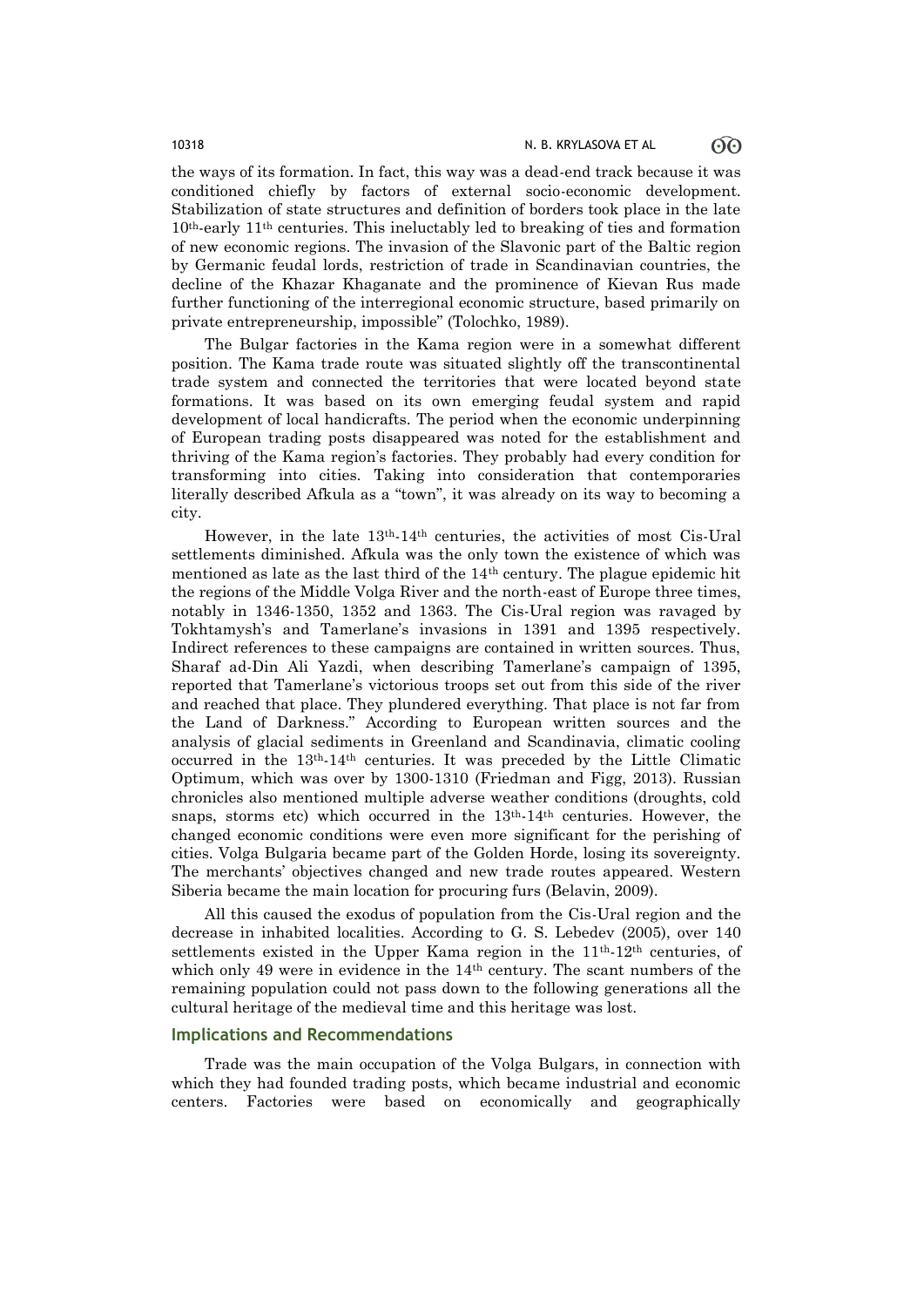the ways of its formation. In fact, this way was a dead-end track because it was conditioned chiefly by factors of external socio-economic development. Stabilization of state structures and definition of borders took place in the late 10th-early 11th centuries. This ineluctably led to breaking of ties and formation of new economic regions. The invasion of the Slavonic part of the Baltic region by Germanic feudal lords, restriction of trade in Scandinavian countries, the decline of the Khazar Khaganate and the prominence of Kievan Rus made further functioning of the interregional economic structure, based primarily on private entrepreneurship, impossible" (Tolochko, 1989).

The Bulgar factories in the Kama region were in a somewhat different position. The Kama trade route was situated slightly off the transcontinental trade system and connected the territories that were located beyond state formations. It was based on its own emerging feudal system and rapid development of local handicrafts. The period when the economic underpinning of European trading posts disappeared was noted for the establishment and thriving of the Kama region's factories. They probably had every condition for transforming into cities. Taking into consideration that contemporaries literally described Afkula as a "town", it was already on its way to becoming a city.

However, in the late 13th-14th centuries, the activities of most Cis-Ural settlements diminished. Afkula was the only town the existence of which was mentioned as late as the last third of the  $14<sup>th</sup>$  century. The plague epidemic hit the regions of the Middle Volga River and the north-east of Europe three times, notably in 1346-1350, 1352 and 1363. The Cis-Ural region was ravaged by Tokhtamysh's and Tamerlane's invasions in 1391 and 1395 respectively. Indirect references to these campaigns are contained in written sources. Thus, Sharaf ad-Din Ali Yazdi, when describing Tamerlane's campaign of 1395, reported that Tamerlane's victorious troops set out from this side of the river and reached that place. They plundered everything. That place is not far from the Land of Darkness." According to European written sources and the analysis of glacial sediments in Greenland and Scandinavia, climatic cooling occurred in the 13th-14th centuries. It was preceded by the Little Climatic Optimum, which was over by 1300-1310 (Friedman and Figg, 2013). Russian chronicles also mentioned multiple adverse weather conditions (droughts, cold snaps, storms etc) which occurred in the 13th-14th centuries. However, the changed economic conditions were even more significant for the perishing of cities. Volga Bulgaria became part of the Golden Horde, losing its sovereignty. The merchants' objectives changed and new trade routes appeared. Western Siberia became the main location for procuring furs (Belavin, 2009).

All this caused the exodus of population from the Cis-Ural region and the decrease in inhabited localities. According to G. S. Lebedev (2005), over 140 settlements existed in the Upper Kama region in the  $11<sup>th</sup>$ -12<sup>th</sup> centuries, of which only 49 were in evidence in the  $14<sup>th</sup>$  century. The scant numbers of the remaining population could not pass down to the following generations all the cultural heritage of the medieval time and this heritage was lost.

### **Implications and Recommendations**

Trade was the main occupation of the Volga Bulgars, in connection with which they had founded trading posts, which became industrial and economic centers. Factories were based on economically and geographically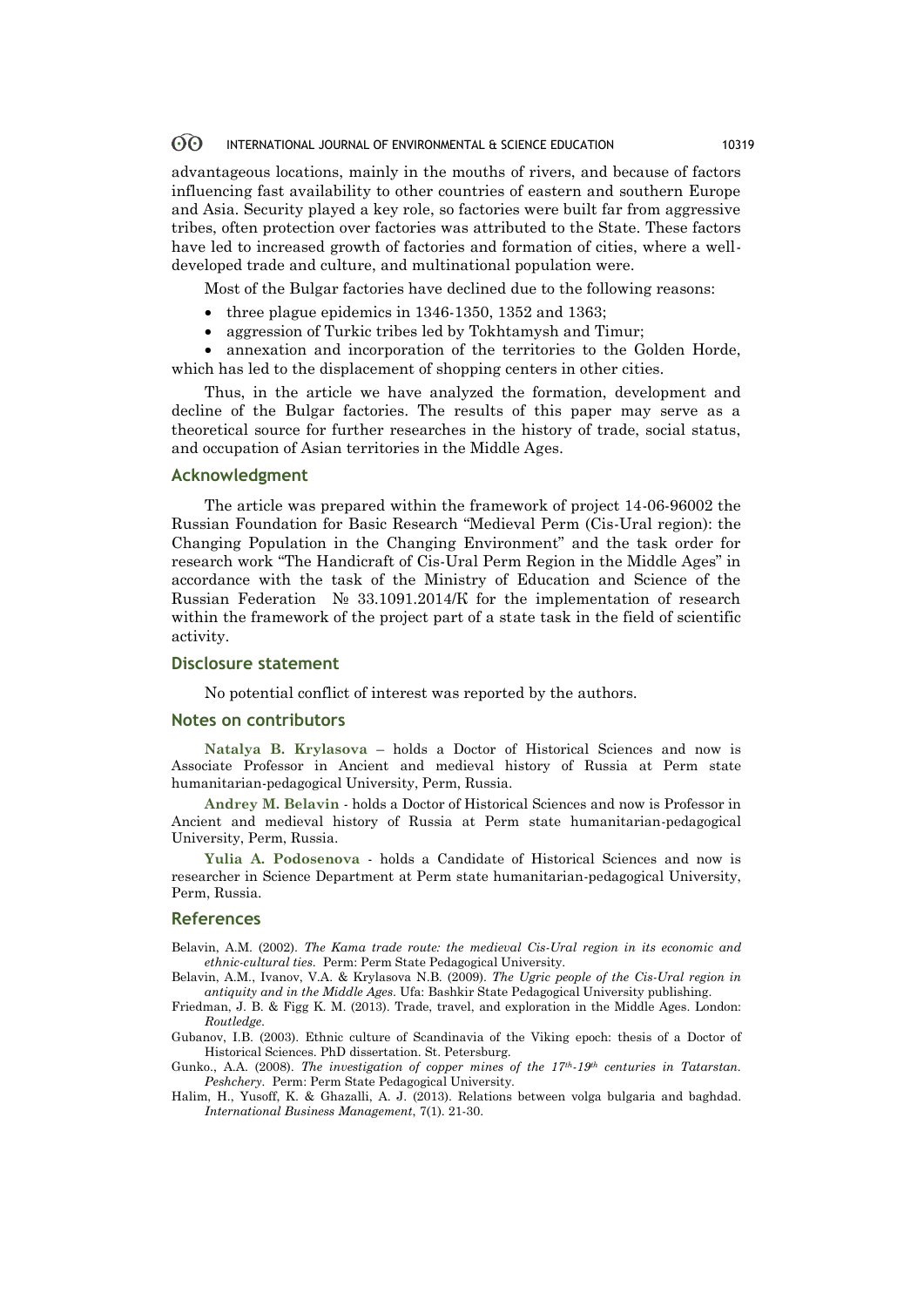#### 60 INTERNATIONAL JOURNAL OF ENVIRONMENTAL & SCIENCE EDUCATION 10319

advantageous locations, mainly in the mouths of rivers, and because of factors influencing fast availability to other countries of eastern and southern Europe and Asia. Security played a key role, so factories were built far from aggressive tribes, often protection over factories was attributed to the State. These factors have led to increased growth of factories and formation of cities, where a welldeveloped trade and culture, and multinational population were.

Most of the Bulgar factories have declined due to the following reasons:

- three plague epidemics in 1346-1350, 1352 and 1363;
- aggression of Turkic tribes led by Tokhtamysh and Timur;

 annexation and incorporation of the territories to the Golden Horde, which has led to the displacement of shopping centers in other cities.

Thus, in the article we have analyzed the formation, development and decline of the Bulgar factories. The results of this paper may serve as a theoretical source for further researches in the history of trade, social status, and occupation of Asian territories in the Middle Ages.

### **Acknowledgment**

The article was prepared within the framework of project 14-06-96002 the Russian Foundation for Basic Research "Medieval Perm (Cis-Ural region): the Changing Population in the Changing Environment" and the task order for research work "The Handicraft of Cis-Ural Perm Region in the Middle Ages" in accordance with the task of the Ministry of Education and Science of the Russian Federation № 33.1091.2014/К for the implementation of research within the framework of the project part of a state task in the field of scientific activity.

### **Disclosure statement**

No potential conflict of interest was reported by the authors.

### **Notes on contributors**

**Natalya B. Krylasova** – holds a Doctor of Historical Sciences and now is Associate Professor in Ancient and medieval history of Russia at Perm state humanitarian-pedagogical University, Perm, Russia.

**Andrey M. Belavin** - holds a Doctor of Historical Sciences and now is Professor in Ancient and medieval history of Russia at Perm state humanitarian-pedagogical University, Perm, Russia.

**Yulia A. Podosenova** - holds a Candidate of Historical Sciences and now is researcher in Science Department at Perm state humanitarian-pedagogical University, Perm, Russia.

### **References**

Belavin, A.M. (2002). *The Kama trade route: the medieval Cis-Ural region in its economic and ethnic-cultural ties*. Perm: Perm State Pedagogical University.

Belavin, A.M., Ivanov, V.A. & Krylasova N.B. (2009). *The Ugric people of the Cis-Ural region in antiquity and in the Middle Ages*. Ufa: Bashkir State Pedagogical University publishing.

Friedman, J. B. & Figg K. M. (2013). Trade, travel, and exploration in the Middle Ages. London: *Routledge*.

Gubanov, I.B. (2003). Ethnic culture of Scandinavia of the Viking epoch: thesis of a Doctor of Historical Sciences. PhD dissertation. St. Petersburg.

Gunko., A.A. (2008). *The investigation of copper mines of the 17th-19th centuries in Tatarstan. Peshchery.* Perm: Perm State Pedagogical University.

Halim, H., Yusoff, K. & Ghazalli, A. J. (2013). Relations between volga bulgaria and baghdad. *International Business Management*, 7(1). 21-30.